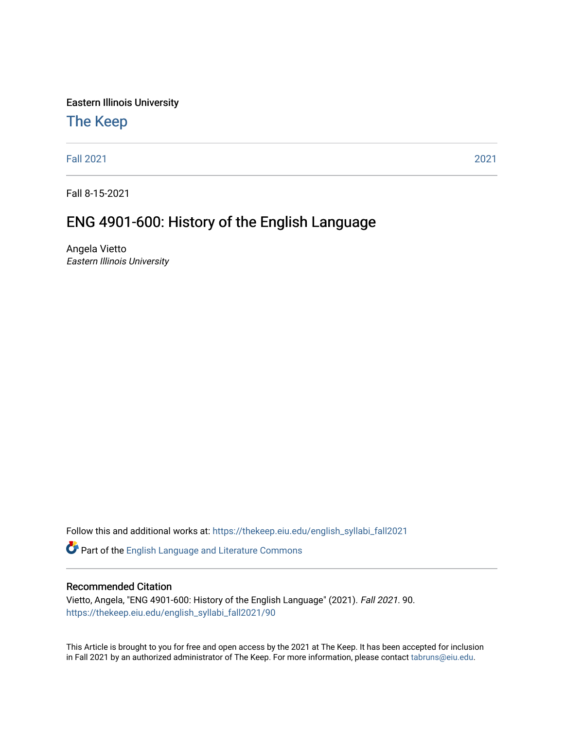Eastern Illinois University

# [The Keep](https://thekeep.eiu.edu/)

[Fall 2021](https://thekeep.eiu.edu/english_syllabi_fall2021) [2021](https://thekeep.eiu.edu/english_syllabi2021) 

Fall 8-15-2021

# ENG 4901-600: History of the English Language

Angela Vietto Eastern Illinois University

Follow this and additional works at: [https://thekeep.eiu.edu/english\\_syllabi\\_fall2021](https://thekeep.eiu.edu/english_syllabi_fall2021?utm_source=thekeep.eiu.edu%2Fenglish_syllabi_fall2021%2F90&utm_medium=PDF&utm_campaign=PDFCoverPages) 

Part of the [English Language and Literature Commons](http://network.bepress.com/hgg/discipline/455?utm_source=thekeep.eiu.edu%2Fenglish_syllabi_fall2021%2F90&utm_medium=PDF&utm_campaign=PDFCoverPages)

# Recommended Citation

Vietto, Angela, "ENG 4901-600: History of the English Language" (2021). Fall 2021. 90. [https://thekeep.eiu.edu/english\\_syllabi\\_fall2021/90](https://thekeep.eiu.edu/english_syllabi_fall2021/90?utm_source=thekeep.eiu.edu%2Fenglish_syllabi_fall2021%2F90&utm_medium=PDF&utm_campaign=PDFCoverPages)

This Article is brought to you for free and open access by the 2021 at The Keep. It has been accepted for inclusion in Fall 2021 by an authorized administrator of The Keep. For more information, please contact [tabruns@eiu.edu](mailto:tabruns@eiu.edu).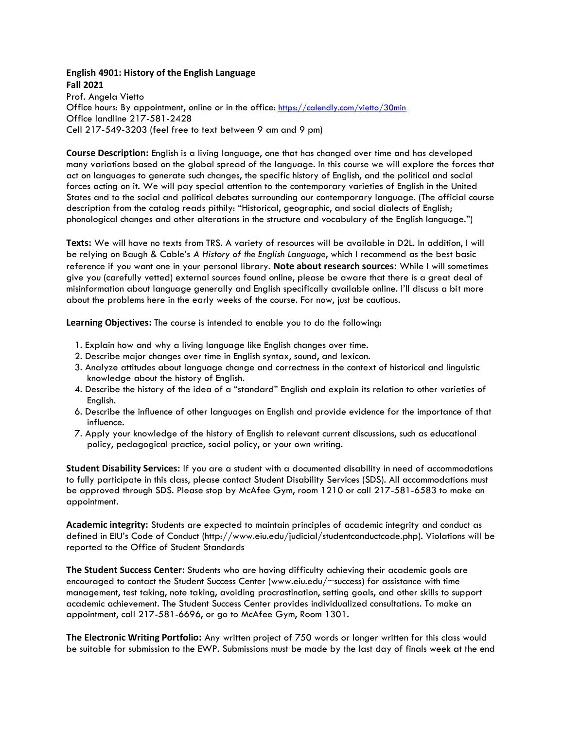# **English 4901: History of the English Language Fall 2021**

Prof. Angela Vietto Office hours: By appointment, online or in the office:<https://calendly.com/vietto/30min> Office landline 217-581-2428 Cell 217-549-3203 (feel free to text between 9 am and 9 pm)

**Course Description:** English is a living language, one that has changed over time and has developed many variations based on the global spread of the language. In this course we will explore the forces that act on languages to generate such changes, the specific history of English, and the political and social forces acting on it. We will pay special attention to the contemporary varieties of English in the United States and to the social and political debates surrounding our contemporary language. (The official course description from the catalog reads pithily: "Historical, geographic, and social dialects of English; phonological changes and other alterations in the structure and vocabulary of the English language.")

**Texts:** We will have no texts from TRS. A variety of resources will be available in D2L. In addition, I will be relying on Baugh & Cable's *A History of the English Language*, which I recommend as the best basic reference if you want one in your personal library. **Note about research sources:** While I will sometimes give you (carefully vetted) external sources found online, please be aware that there is a great deal of misinformation about language generally and English specifically available online. I'll discuss a bit more about the problems here in the early weeks of the course. For now, just be cautious.

**Learning Objectives:** The course is intended to enable you to do the following:

- 1. Explain how and why a living language like English changes over time.
- 2. Describe major changes over time in English syntax, sound, and lexicon.
- 3. Analyze attitudes about language change and correctness in the context of historical and linguistic knowledge about the history of English.
- 4. Describe the history of the idea of a "standard" English and explain its relation to other varieties of English.
- 6. Describe the influence of other languages on English and provide evidence for the importance of that influence.
- 7. Apply your knowledge of the history of English to relevant current discussions, such as educational policy, pedagogical practice, social policy, or your own writing.

**Student Disability Services:** If you are a student with a documented disability in need of accommodations to fully participate in this class, please contact Student Disability Services (SDS). All accommodations must be approved through SDS. Please stop by McAfee Gym, room 1210 or call 217-581-6583 to make an appointment.

**Academic integrity:** Students are expected to maintain principles of academic integrity and conduct as defined in EIU's Code of Conduct (http://www.eiu.edu/judicial/studentconductcode.php). Violations will be reported to the Office of Student Standards

**The Student Success Center:** Students who are having difficulty achieving their academic goals are encouraged to contact the Student Success Center (www.eiu.edu/~success) for assistance with time management, test taking, note taking, avoiding procrastination, setting goals, and other skills to support academic achievement. The Student Success Center provides individualized consultations. To make an appointment, call 217-581-6696, or go to McAfee Gym, Room 1301.

**The Electronic Writing Portfolio:** Any written project of 750 words or longer written for this class would be suitable for submission to the EWP. Submissions must be made by the last day of finals week at the end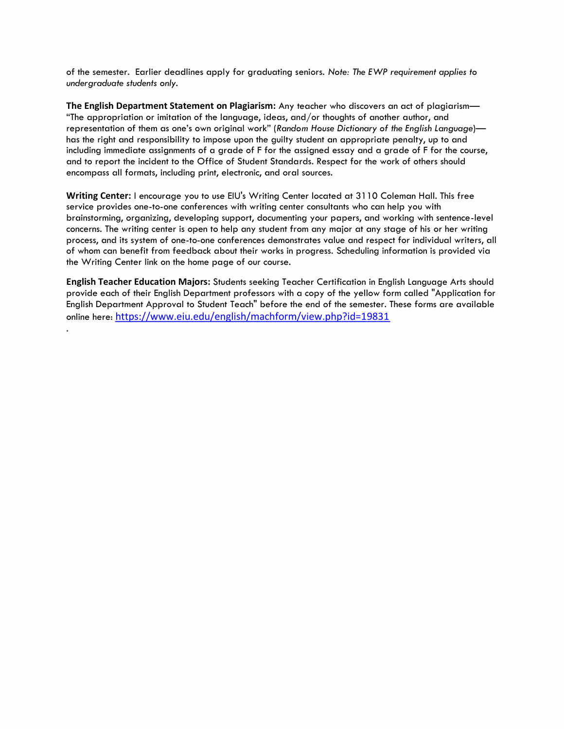of the semester. Earlier deadlines apply for graduating seniors. *Note: The EWP requirement applies to undergraduate students only.*

**The English Department Statement on Plagiarism:** Any teacher who discovers an act of plagiarism— "The appropriation or imitation of the language, ideas, and/or thoughts of another author, and representation of them as one's own original work" (*Random House Dictionary of the English Language*) has the right and responsibility to impose upon the guilty student an appropriate penalty, up to and including immediate assignments of a grade of F for the assigned essay and a grade of F for the course, and to report the incident to the Office of Student Standards. Respect for the work of others should encompass all formats, including print, electronic, and oral sources.

**Writing Center:** I encourage you to use EIU's Writing Center located at 3110 Coleman Hall. This free service provides one-to-one conferences with writing center consultants who can help you with brainstorming, organizing, developing support, documenting your papers, and working with sentence-level concerns. The writing center is open to help any student from any major at any stage of his or her writing process, and its system of one-to-one conferences demonstrates value and respect for individual writers, all of whom can benefit from feedback about their works in progress. Scheduling information is provided via the Writing Center link on the home page of our course.

**English Teacher Education Majors:** Students seeking Teacher Certification in English Language Arts should provide each of their English Department professors with a copy of the yellow form called "Application for English Department Approval to Student Teach" before the end of the semester. These forms are available online here: <https://www.eiu.edu/english/machform/view.php?id=19831>

.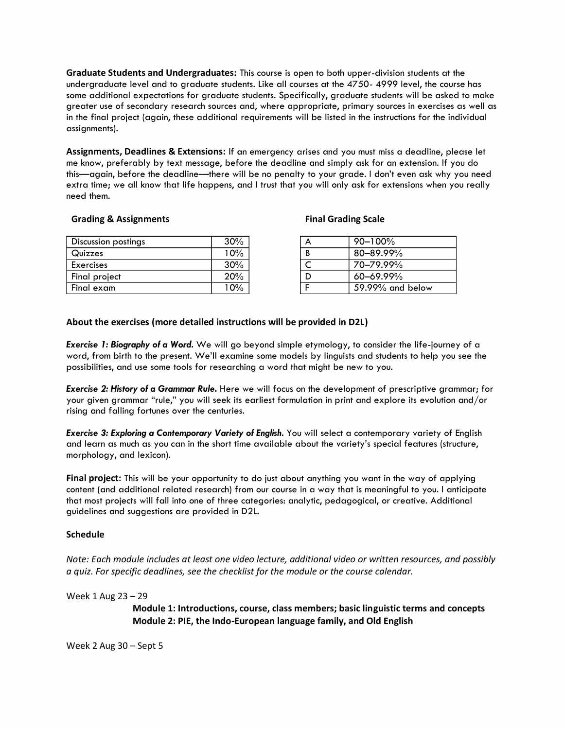**Graduate Students and Undergraduates:** This course is open to both upper-division students at the undergraduate level and to graduate students. Like all courses at the 4750- 4999 level, the course has some additional expectations for graduate students. Specifically, graduate students will be asked to make greater use of secondary research sources and, where appropriate, primary sources in exercises as well as in the final project (again, these additional requirements will be listed in the instructions for the individual assignments).

**Assignments, Deadlines & Extensions:** If an emergency arises and you must miss a deadline, please let me know, preferably by text message, before the deadline and simply ask for an extension. If you do this—again, before the deadline—there will be no penalty to your grade. I don't even ask why you need extra time; we all know that life happens, and I trust that you will only ask for extensions when you really need them.

# **Grading & Assignments Final Grading Scale**

| Discussion postings | 30%    | 90-100%          |
|---------------------|--------|------------------|
| Quizzes             | .0%    | $80 - 89.99\%$   |
| Exercises           | $30\%$ | 70–79.99%        |
| Final project       | 20%    | 60–69.99%        |
| Final exam          | 10%    | 59.99% and below |

# **About the exercises (more detailed instructions will be provided in D2L)**

*Exercise 1: Biography of a Word.* We will go beyond simple etymology, to consider the life-journey of a word, from birth to the present. We'll examine some models by linguists and students to help you see the possibilities, and use some tools for researching a word that might be new to you.

*Exercise 2: History of a Grammar Rule.* Here we will focus on the development of prescriptive grammar; for your given grammar "rule," you will seek its earliest formulation in print and explore its evolution and/or rising and falling fortunes over the centuries.

*Exercise 3: Exploring a Contemporary Variety of English.* You will select a contemporary variety of English and learn as much as you can in the short time available about the variety's special features (structure, morphology, and lexicon).

**Final project:** This will be your opportunity to do just about anything you want in the way of applying content (and additional related research) from our course in a way that is meaningful to you. I anticipate that most projects will fall into one of three categories: analytic, pedagogical, or creative. Additional guidelines and suggestions are provided in D2L.

# **Schedule**

*Note: Each module includes at least one video lecture, additional video or written resources, and possibly a quiz. For specific deadlines, see the checklist for the module or the course calendar.*

Week 1 Aug 23 – 29

**Module 1: Introductions, course, class members; basic linguistic terms and concepts Module 2: PIE, the Indo-European language family, and Old English**

Week 2 Aug 30 – Sept 5